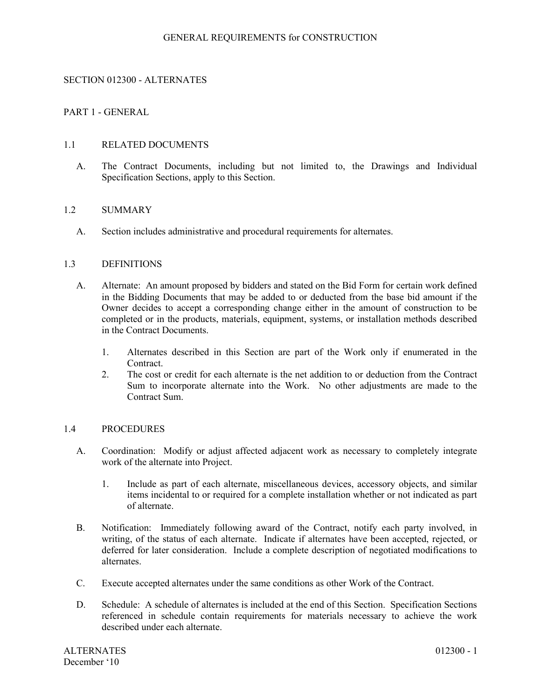## GENERAL REQUIREMENTS for CONSTRUCTION

## SECTION 012300 - ALTERNATES

## PART 1 - GENERAL

#### 1.1 RELATED DOCUMENTS

A. The Contract Documents, including but not limited to, the Drawings and Individual Specification Sections, apply to this Section.

#### 1.2 SUMMARY

A. Section includes administrative and procedural requirements for alternates.

#### 1.3 DEFINITIONS

- A. Alternate: An amount proposed by bidders and stated on the Bid Form for certain work defined in the Bidding Documents that may be added to or deducted from the base bid amount if the Owner decides to accept a corresponding change either in the amount of construction to be completed or in the products, materials, equipment, systems, or installation methods described in the Contract Documents.
	- 1. Alternates described in this Section are part of the Work only if enumerated in the Contract.
	- 2. The cost or credit for each alternate is the net addition to or deduction from the Contract Sum to incorporate alternate into the Work. No other adjustments are made to the Contract Sum.

#### 1.4 PROCEDURES

- A. Coordination: Modify or adjust affected adjacent work as necessary to completely integrate work of the alternate into Project.
	- 1. Include as part of each alternate, miscellaneous devices, accessory objects, and similar items incidental to or required for a complete installation whether or not indicated as part of alternate.
- B. Notification: Immediately following award of the Contract, notify each party involved, in writing, of the status of each alternate. Indicate if alternates have been accepted, rejected, or deferred for later consideration. Include a complete description of negotiated modifications to alternates.
- C. Execute accepted alternates under the same conditions as other Work of the Contract.
- D. Schedule: A schedule of alternates is included at the end of this Section. Specification Sections referenced in schedule contain requirements for materials necessary to achieve the work described under each alternate.